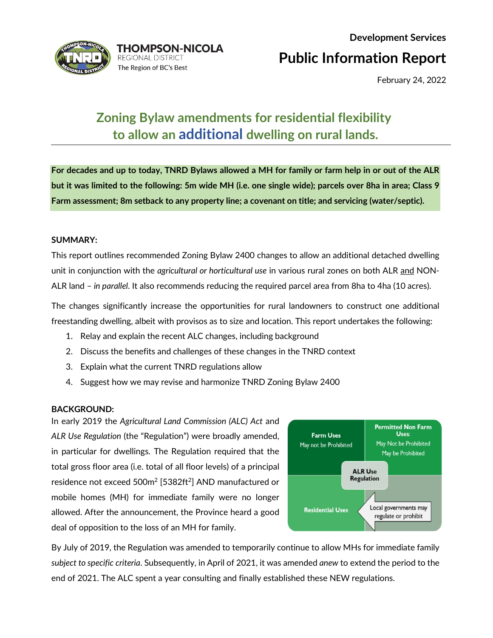

# **Development Services**

**Public Information Report**

February 24, 2022

## **Zoning Bylaw amendments for residential flexibility to allow an additional dwelling on rural lands.**

**For decades and up to today, TNRD Bylaws allowed a MH for family or farm help in or out of the ALR but it was limited to the following: 5m wide MH (i.e. one single wide); parcels over 8ha in area; Class 9 Farm assessment; 8m setback to any property line; a covenant on title; and servicing (water/septic).**

#### **SUMMARY:**

This report outlines recommended Zoning Bylaw 2400 changes to allow an additional detached dwelling unit in conjunction with the *agricultural or horticultural use* in various rural zones on both ALR and NON-ALR land – *in parallel*. It also recommends reducing the required parcel area from 8ha to 4ha (10 acres).

The changes significantly increase the opportunities for rural landowners to construct one additional freestanding dwelling, albeit with provisos as to size and location. This report undertakes the following:

- 1. Relay and explain the recent ALC changes, including background
- 2. Discuss the benefits and challenges of these changes in the TNRD context
- 3. Explain what the current TNRD regulations allow
- 4. Suggest how we may revise and harmonize TNRD Zoning Bylaw 2400

#### **BACKGROUND:**

In early 2019 the *Agricultural Land Commission (ALC) Act* and *ALR Use Regulation* (the "Regulation") were broadly amended, in particular for dwellings. The Regulation required that the total gross floor area (i.e. total of all floor levels) of a principal residence not exceed 500m2 [5382ft2] AND manufactured or mobile homes (MH) for immediate family were no longer allowed. After the announcement, the Province heard a good deal of opposition to the loss of an MH for family.



By July of 2019, the Regulation was amended to temporarily continue to allow MHs for immediate family *subject to specific criteria*. Subsequently, in April of 2021, it was amended *anew* to extend the period to the end of 2021. The ALC spent a year consulting and finally established these NEW regulations.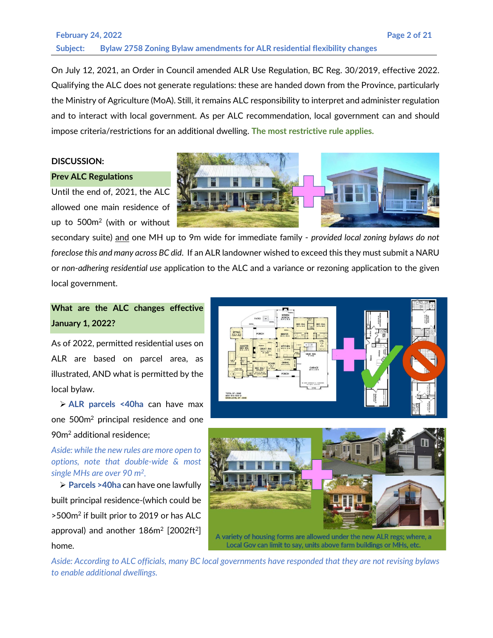### **February 24, 2022 Page 2 of 21 Subject: Bylaw 2758 Zoning Bylaw amendments for ALR residential flexibility changes**

On July 12, 2021, an Order in Council amended ALR Use Regulation, BC Reg. 30/2019, effective 2022. Qualifying the ALC does not generate regulations: these are handed down from the Province, particularly the Ministry of Agriculture (MoA). Still, it remains ALC responsibility to interpret and administer regulation and to interact with local government. As per ALC recommendation, local government can and should impose criteria/restrictions for an additional dwelling. **The most restrictive rule applies.**

#### **DISCUSSION:**

#### **Prev ALC Regulations**

Until the end of, 2021, the ALC allowed one main residence of up to 500m2 (with or without

secondary suite) and one MH up to 9m wide for immediate family - *provided local zoning bylaws do not foreclose this and many across BC did*. If an ALR landowner wished to exceed this they must submit a NARU or *non-adhering residential use* application to the ALC and a variance or rezoning application to the given local government.

**What are the ALC changes effective January 1, 2022?**

As of 2022, permitted residential uses on ALR are based on parcel area, as illustrated, AND what is permitted by the local bylaw.

 **ALR parcels <40ha** can have max one 500m2 principal residence and one 90m2 additional residence;

*Aside: while the new rules are more open to options, note that double-wide & most single MHs are over 90 m2.*

 **Parcels >40ha** can have one lawfully built principal residence-(which could be >500m2 if built prior to 2019 or has ALC approval) and another  $186m^2$  [2002ft<sup>2</sup>] home.

TOTAL SF - 3048<br>88'6" W X 75'8" D<br>MAIN LEVEL SF - 30



*Aside: According to ALC officials, many BC local governments have responded that they are not revising bylaws to enable additional dwellings.*

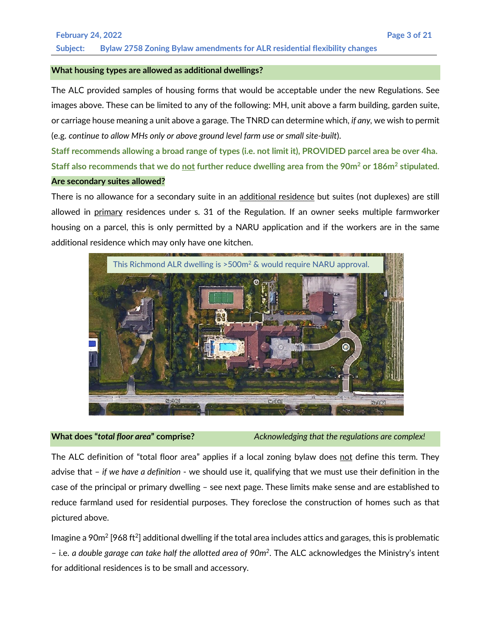#### **What housing types are allowed as additional dwellings?**

The ALC provided samples of housing forms that would be acceptable under the new Regulations. See images above. These can be limited to any of the following: MH, unit above a farm building, garden suite, or carriage house meaning a unit above a garage. The TNRD can determine which, *if any,* we wish to permit (e.g. *continue to allow MHs only or above ground level farm use or small site-built*).

**Staff recommends allowing a broad range of types (i.e. not limit it), PROVIDED parcel area be over 4ha. Staff also recommends that we do not further reduce dwelling area from the 90m2 or 186m2 stipulated. Are secondary suites allowed?**

There is no allowance for a secondary suite in an additional residence but suites (not duplexes) are still allowed in primary residences under s. 31 of the Regulation. If an owner seeks multiple farmworker housing on a parcel, this is only permitted by a NARU application and if the workers are in the same additional residence which may only have one kitchen.



**What does "***total floor area***" comprise?** *Acknowledging that the regulations are complex!*

The ALC definition of "total floor area" applies if a local zoning bylaw does not define this term. They advise that – *if we have a definition* - we should use it, qualifying that we must use their definition in the case of the principal or primary dwelling – see next page. These limits make sense and are established to reduce farmland used for residential purposes. They foreclose the construction of homes such as that pictured above.

Imagine a 90 $m^2$  [968 ft<sup>2</sup>] additional dwelling if the total area includes attics and garages, this is problematic – i.e. *a double garage can take half the allotted area of 90m2*. The ALC acknowledges the Ministry's intent for additional residences is to be small and accessory.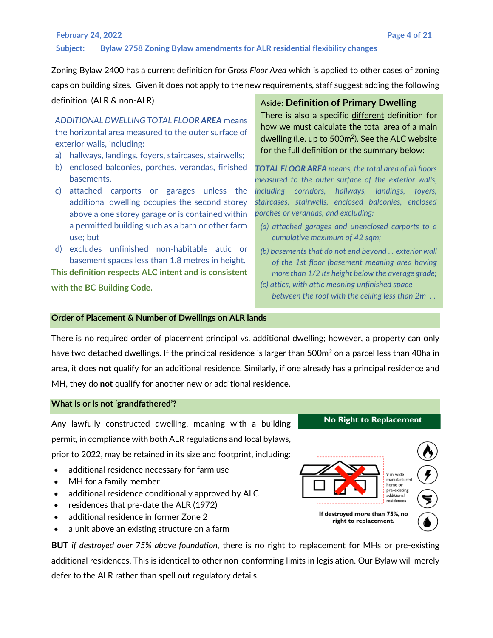Zoning Bylaw 2400 has a current definition for *Gross Floor Area* which is applied to other cases of zoning caps on building sizes. Given it does not apply to the new requirements, staff suggest adding the following

#### definition: (ALR & non-ALR)

*ADDITIONAL DWELLING TOTAL FLOOR AREA* means the horizontal area measured to the outer surface of exterior walls, including:

- a) hallways, landings, foyers, staircases, stairwells;
- b) enclosed balconies, porches, verandas, finished basements,
- c) attached carports or garages unless the additional dwelling occupies the second storey above a one storey garage or is contained within a permitted building such as a barn or other farm use; but
- d) excludes unfinished non-habitable attic or basement spaces less than 1.8 metres in height.

**This definition respects ALC intent and is consistent with the BC Building Code.**

#### Aside: **Definition of Primary Dwelling**

There is also a specific different definition for how we must calculate the total area of a main dwelling (i.e. up to 500m<sup>2</sup>). See the ALC website for the full definition or the summary below:

*TOTAL FLOOR AREA means, the total area of all floors measured to the outer surface of the exterior walls, including corridors, hallways, landings, foyers, staircases, stairwells, enclosed balconies, enclosed porches or verandas, and excluding:*

- *(a) attached garages and unenclosed carports to a cumulative maximum of 42 sqm;*
- *(b) basements that do not end beyond . . exterior wall of the 1st floor (basement meaning area having more than 1/2 its height below the average grade;*
- *(c) attics, with attic meaning unfinished space between the roof with the ceiling less than 2m .* .

#### **Order of Placement & Number of Dwellings on ALR lands**

There is no required order of placement principal vs. additional dwelling; however, a property can only have two detached dwellings. If the principal residence is larger than 500m<sup>2</sup> on a parcel less than 40ha in area, it does **not** qualify for an additional residence. Similarly, if one already has a principal residence and MH, they do **not** qualify for another new or additional residence.

#### **What is or is not 'grandfathered'?**

Any lawfully constructed dwelling, meaning with a building permit, in compliance with both ALR regulations and local bylaws, prior to 2022, may be retained in its size and footprint, including:

- additional residence necessary for farm use
- MH for a family member
- additional residence conditionally approved by ALC
- residences that pre-date the ALR (1972)
- additional residence in former Zone 2
- a unit above an existing structure on a farm

**BUT** *if destroyed over 75% above foundation,* there is no right to replacement for MHs or pre-existing additional residences. This is identical to other non-conforming limits in legislation. Our Bylaw will merely defer to the ALR rather than spell out regulatory details.

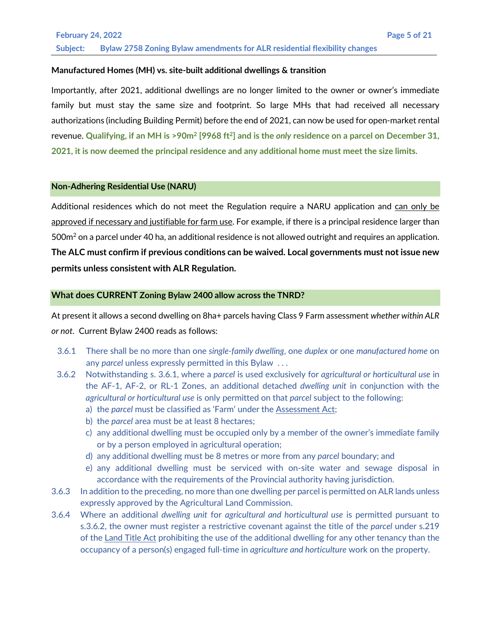#### **Manufactured Homes (MH) vs. site-built additional dwellings & transition**

Importantly, after 2021, additional dwellings are no longer limited to the owner or owner's immediate family but must stay the same size and footprint. So large MHs that had received all necessary authorizations (including Building Permit) before the end of 2021, can now be used for open-market rental revenue. **Qualifying, if an MH is >90m2 [9968 ft2] and is the** *only* **residence on a parcel on December 31, 2021, it is now deemed the principal residence and any additional home must meet the size limits.**

#### **Non-Adhering Residential Use (NARU)**

Additional residences which do not meet the Regulation require a NARU application and can only be approved if necessary and justifiable for farm use. For example, if there is a principal residence larger than 500m<sup>2</sup> on a parcel under 40 ha, an additional residence is not allowed outright and requires an application. **The ALC must confirm if previous conditions can be waived. Local governments must not issue new permits unless consistent with ALR Regulation.**

#### **What does CURRENT Zoning Bylaw 2400 allow across the TNRD?**

At present it allows a second dwelling on 8ha+ parcels having Class 9 Farm assessment *whether within ALR or not*. Current Bylaw 2400 reads as follows:

- 3.6.1 There shall be no more than one *single-family dwelling*, one *duplex* or one *manufactured home* on any *parcel* unless expressly permitted in this Bylaw . . .
- 3.6.2 Notwithstanding s. 3.6.1, where a *parcel* is used exclusively for *agricultural or horticultural use* in the AF-1, AF-2, or RL-1 Zones, an additional detached *dwelling unit* in conjunction with the *agricultural or horticultural use* is only permitted on that *parcel* subject to the following: a) the *parcel* must be classified as 'Farm' under the Assessment Act;
	-
	- b) the *parcel* area must be at least 8 hectares;
	- c) any additional dwelling must be occupied only by a member of the owner's immediate family or by a person employed in agricultural operation;
	- d) any additional dwelling must be 8 metres or more from any *parcel* boundary; and
	- e) any additional dwelling must be serviced with on-site water and sewage disposal in accordance with the requirements of the Provincial authority having jurisdiction.
- 3.6.3 In addition to the preceding, no more than one dwelling per parcel is permitted on ALR lands unless expressly approved by the Agricultural Land Commission.
- 3.6.4 Where an additional *dwelling unit* for *agricultural and horticultural use* is permitted pursuant to s.3.6.2, the owner must register a restrictive covenant against the title of the *parcel* under s.219 of the Land Title Act prohibiting the use of the additional dwelling for any other tenancy than the occupancy of a person(s) engaged full-time in *agriculture and horticulture* work on the property.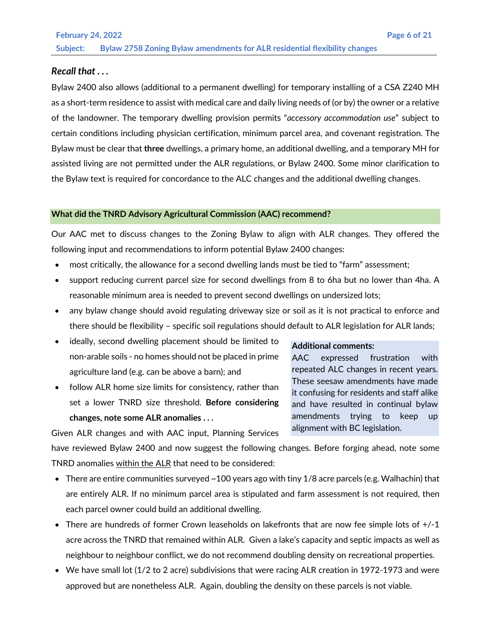#### *Recall that . . .*

Bylaw 2400 also allows (additional to a permanent dwelling) for temporary installing of a CSA Z240 MH as a short-term residence to assist with medical care and daily living needs of (or by) the owner or a relative of the landowner. The temporary dwelling provision permits "*accessory accommodation use*" subject to certain conditions including physician certification, minimum parcel area, and covenant registration. The Bylaw must be clear that **three** dwellings, a primary home, an additional dwelling, and a temporary MH for assisted living are not permitted under the ALR regulations, or Bylaw 2400. Some minor clarification to the Bylaw text is required for concordance to the ALC changes and the additional dwelling changes.

#### **What did the TNRD Advisory Agricultural Commission (AAC) recommend?**

Our AAC met to discuss changes to the Zoning Bylaw to align with ALR changes. They offered the following input and recommendations to inform potential Bylaw 2400 changes:

- most critically, the allowance for a second dwelling lands must be tied to "farm" assessment;
- support reducing current parcel size for second dwellings from 8 to 6ha but no lower than 4ha. A reasonable minimum area is needed to prevent second dwellings on undersized lots;
- any bylaw change should avoid regulating driveway size or soil as it is not practical to enforce and there should be flexibility – specific soil regulations should default to ALR legislation for ALR lands;
- ideally, second dwelling placement should be limited to non-arable soils - no homes should not be placed in prime agriculture land (e.g. can be above a barn); and
- follow ALR home size limits for consistency, rather than set a lower TNRD size threshold. **Before considering changes, note some ALR anomalies . . .**

#### **Additional comments:**

AAC expressed frustration with repeated ALC changes in recent years. These seesaw amendments have made it confusing for residents and staff alike and have resulted in continual bylaw amendments trying to keep up alignment with BC legislation.

Given ALR changes and with AAC input, Planning Services have reviewed Bylaw 2400 and now suggest the following changes. Before forging ahead, note some TNRD anomalies within the ALR that need to be considered:

- There are entire communities surveyed ~100 years ago with tiny 1/8 acre parcels (e.g. Walhachin) that are entirely ALR. If no minimum parcel area is stipulated and farm assessment is not required, then each parcel owner could build an additional dwelling.
- There are hundreds of former Crown leaseholds on lakefronts that are now fee simple lots of  $+/-1$ acre across the TNRD that remained within ALR. Given a lake's capacity and septic impacts as well as neighbour to neighbour conflict, we do not recommend doubling density on recreational properties.
- We have small lot (1/2 to 2 acre) subdivisions that were racing ALR creation in 1972-1973 and were approved but are nonetheless ALR. Again, doubling the density on these parcels is not viable.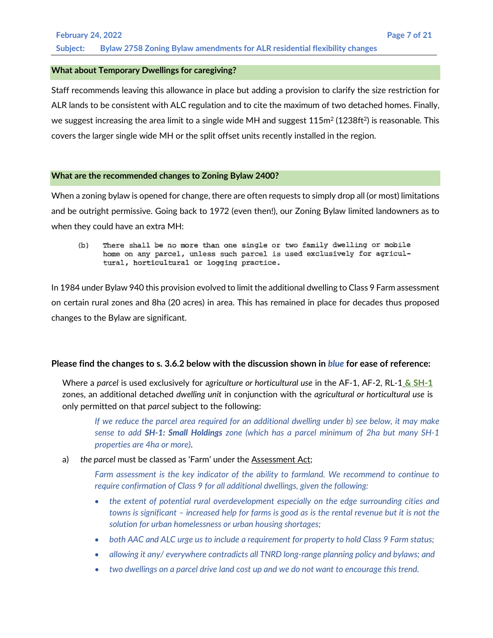#### **What about Temporary Dwellings for caregiving?**

Staff recommends leaving this allowance in place but adding a provision to clarify the size restriction for ALR lands to be consistent with ALC regulation and to cite the maximum of two detached homes. Finally, we suggest increasing the area limit to a single wide MH and suggest  $115m^2 (1238ft^2)$  is reasonable. This covers the larger single wide MH or the split offset units recently installed in the region.

#### **What are the recommended changes to Zoning Bylaw 2400?**

When a zoning bylaw is opened for change, there are often requests to simply drop all (or most) limitations and be outright permissive. Going back to 1972 (even then!), our Zoning Bylaw limited landowners as to when they could have an extra MH:

 $(b)$ There shall be no more than one single or two family dwelling or mobile home on any parcel, unless such parcel is used exclusively for agricultural, horticultural or logging practice.

In 1984 under Bylaw 940 this provision evolved to limit the additional dwelling to Class 9 Farm assessment on certain rural zones and 8ha (20 acres) in area. This has remained in place for decades thus proposed changes to the Bylaw are significant.

#### **Please find the changes to s. 3.6.2 below with the discussion shown in** *blue* **for ease of reference:**

Where a *parcel* is used exclusively for a*griculture or horticultural use* in the AF-1, AF-2, RL-1 **& SH-1** zones, an additional detached *dwelling unit* in conjunction with the *agricultural or horticultural use* is only permitted on that *parcel* subject to the following:

*If we reduce the parcel area required for an additional dwelling under b) see below, it may make sense to add SH-1: Small Holdings zone (which has a parcel minimum of 2ha but many SH-1 properties are 4ha or more)*.

#### a) *the parcel* must be classed as 'Farm' under the Assessment Act;

*Farm assessment is the key indicator of the ability to farmland. We recommend to continue to require confirmation of Class 9 for all additional dwellings, given the following:*

- *the extent of potential rural overdevelopment especially on the edge surrounding cities and towns is significant – increased help for farms is good as is the rental revenue but it is not the solution for urban homelessness or urban housing shortages;*
- *both AAC and ALC urge us to include a requirement for property to hold Class 9 Farm status;*
- *allowing it any/ everywhere contradicts all TNRD long-range planning policy and bylaws; and*
- *two dwellings on a parcel drive land cost up and we do not want to encourage this trend.*